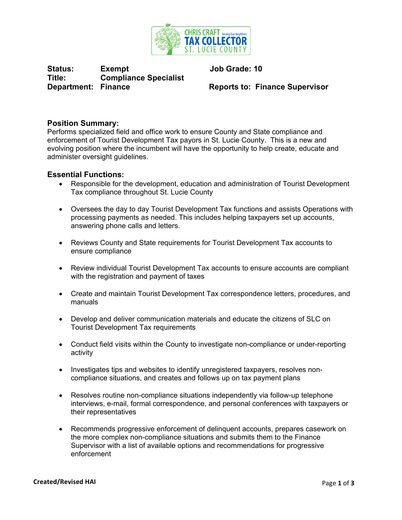

Status: Exempt Job Grade: 10 **Title: Compliance Specialist Department: Finance Supervisor Reports to: Finance Supervisor** 

# **Position Summary:**

Performs specialized field and office work to ensure County and State compliance and enforcement of Tourist Development Tax payors in St. Lucie County. This is a new and evolving position where the incumbent will have the opportunity to help create, educate and administer oversight guidelines.

### **Essential Functions:**

- Responsible for the development, education and administration of Tourist Development Tax compliance throughout St. Lucie County
- Oversees the day to day Tourist Development Tax functions and assists Operations with processing payments as needed. This includes helping taxpayers set up accounts, answering phone calls and letters.
- Reviews County and State requirements for Tourist Development Tax accounts to ensure compliance
- Review individual Tourist Development Tax accounts to ensure accounts are compliant with the registration and payment of taxes
- Create and maintain Tourist Development Tax correspondence letters, procedures, and manuals
- Develop and deliver communication materials and educate the citizens of SLC on Tourist Development Tax requirements
- Conduct field visits within the County to investigate non-compliance or under-reporting activity
- Investigates tips and websites to identify unregistered taxpayers, resolves noncompliance situations, and creates and follows up on tax payment plans
- Resolves routine non-compliance situations independently via follow-up telephone interviews, e-mail, formal correspondence, and personal conferences with taxpayers or their representatives
- Recommends progressive enforcement of delinquent accounts, prepares casework on the more complex non-compliance situations and submits them to the Finance Supervisor with a list of available options and recommendations for progressive enforcement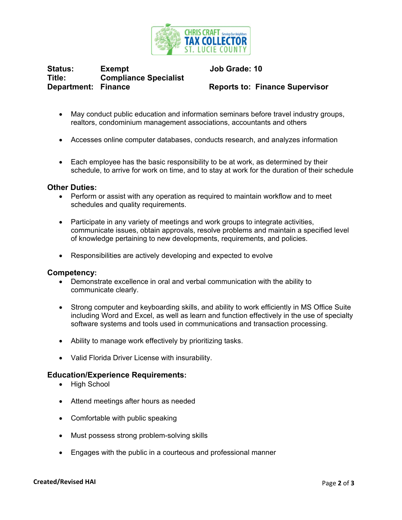

Status: Exempt Job Grade: 10 **Title: Compliance Specialist Department: Finance Supervisor Reports to: Finance Supervisor** 

- May conduct public education and information seminars before travel industry groups, realtors, condominium management associations, accountants and others
- Accesses online computer databases, conducts research, and analyzes information
- Each employee has the basic responsibility to be at work, as determined by their schedule, to arrive for work on time, and to stay at work for the duration of their schedule

#### **Other Duties:**

- Perform or assist with any operation as required to maintain workflow and to meet schedules and quality requirements.
- Participate in any variety of meetings and work groups to integrate activities, communicate issues, obtain approvals, resolve problems and maintain a specified level of knowledge pertaining to new developments, requirements, and policies.
- Responsibilities are actively developing and expected to evolve

#### **Competency:**

- Demonstrate excellence in oral and verbal communication with the ability to communicate clearly.
- Strong computer and keyboarding skills, and ability to work efficiently in MS Office Suite including Word and Excel, as well as learn and function effectively in the use of specialty software systems and tools used in communications and transaction processing.
- Ability to manage work effectively by prioritizing tasks.
- Valid Florida Driver License with insurability.

## **Education/Experience Requirements:**

- High School
- Attend meetings after hours as needed
- Comfortable with public speaking
- Must possess strong problem-solving skills
- Engages with the public in a courteous and professional manner